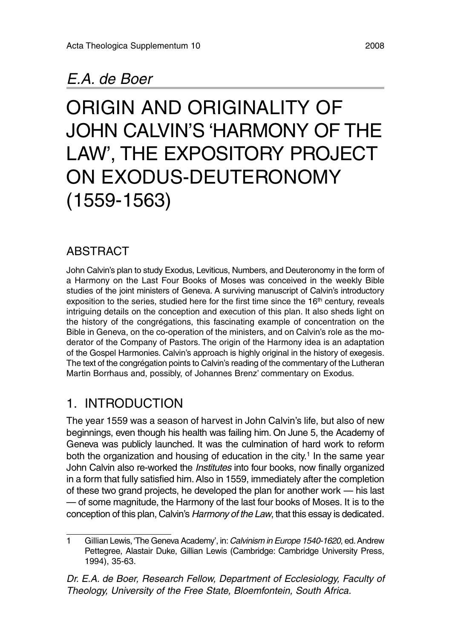# *E.A. de Boer*

# *ORIGIN AND ORIGINALITY OF JOHN CALVIN'S 'HARMONY OF THE LAW', THE EXPOSITORY PROJECT ON EXODUS-DEUTERONOMY (1559-1563)*

### *ABSTRACT*

*John Calvin's plan to study Exodus, Leviticus, Numbers, and Deuteronomy in the form of a Harmony on the Last Four Books of Moses was conceived in the weekly Bible studies of the joint ministers of Geneva. A surviving manuscript of Calvin's introductory exposition to the series, studied here for the first time since the 16th century, reveals intriguing details on the conception and execution of this plan. It also sheds light on the history of the congrégations, this fascinating example of concentration on the Bible in Geneva, on the co-operation of the ministers, and on Calvin's role as the moderator of the Company of Pastors. The origin of the Harmony idea is an adaptation of the Gospel Harmonies. Calvin's approach is highly original in the history of exegesis. The text of the congrégation points to Calvin's reading of the commentary of the Lutheran Martin Borrhaus and, possibly, of Johannes Brenz' commentary on Exodus.*

# *1. INTRODUCTION*

*The year 1559 was a season of harvest in John Calvin's life, but also of new beginnings, even though his health was failing him. On June 5, the Academy of Geneva was publicly launched. It was the culmination of hard work to reform both the organization and housing of education in the city.<sup>1</sup> In the same year John Calvin also re-worked the Institutes into four books, now finally organized in a form that fully satisfied him.Also in 1559, immediately after the completion of these two grand projects, he developed the plan for another work — his last — of some magnitude, the Harmony of the last four books of Moses. It is to the conception of this plan, Calvin's Harmony of the Law, that this essay is dedicated.*

*Dr. E.A. de Boer, Research Fellow, Department of Ecclesiology, Faculty of Theology, University of the Free State, Bloemfontein, South Africa.*

*<sup>1</sup> Gillian Lewis, 'The Geneva Academy', in:Calvinism in Europe 1540-1620, ed.Andrew Pettegree, Alastair Duke, Gillian Lewis (Cambridge: Cambridge University Press, 1994), 35-63.*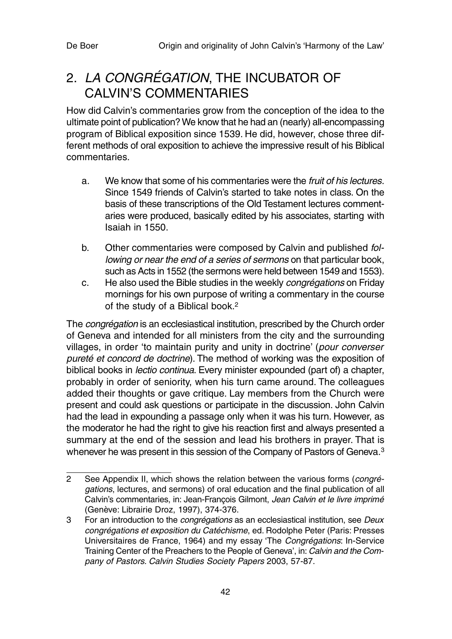# 2. LA CONGRÉGATION. THE INCUBATOR OF CALVIN'S COMMENTARIES

How did Calvin's commentaries grow from the conception of the idea to the ultimate point of publication? We know that he had an (nearly) all-encompassing program of Biblical exposition since 1539. He did, however, chose three different methods of oral exposition to achieve the impressive result of his Biblical commentaries.

- a. We know that some of his commentaries were the fruit of his lectures. Since 1549 friends of Calvin's started to take notes in class. On the basis of these transcriptions of the Old Testament lectures commentaries were produced, basically edited by his associates, starting with Isaiah in 1550.
- b. Other commentaries were composed by Calvin and published following or near the end of a series of sermons on that particular book, such as Acts in 1552 (the sermons were held between 1549 and 1553).
- c. He also used the Bible studies in the weekly *congrégations* on Friday mornings for his own purpose of writing a commentary in the course of the study of a Biblical book.2

The *congrégation* is an ecclesiastical institution, prescribed by the Church order of Geneva and intended for all ministers from the city and the surrounding villages, in order 'to maintain purity and unity in doctrine' (pour converser pureté et concord de doctrine). The method of working was the exposition of biblical books in lectio continua. Every minister expounded (part of) a chapter, probably in order of seniority, when his turn came around. The colleagues added their thoughts or gave critique. Lay members from the Church were present and could ask questions or participate in the discussion. John Calvin had the lead in expounding a passage only when it was his turn. However, as the moderator he had the right to give his reaction first and always presented a summary at the end of the session and lead his brothers in prayer. That is whenever he was present in this session of the Company of Pastors of Geneva.<sup>3</sup>

<sup>2</sup> See Appendix II, which shows the relation between the various forms (congrégations, lectures, and sermons) of oral education and the final publication of all Calvin's commentaries, in: Jean-François Gilmont, Jean Calvin et le livre imprimé (Genève: Librairie Droz, 1997), 374-376.

<sup>3</sup> For an introduction to the *congrégations* as an ecclesiastical institution, see Deux congrégations et exposition du Catéchisme, ed. Rodolphe Peter (Paris: Presses Universitaires de France, 1964) and my essay 'The Congrégations: In-Service Training Center of the Preachers to the People of Geneva', in: Calvin and the Company of Pastors. Calvin Studies Society Papers 2003, 57-87.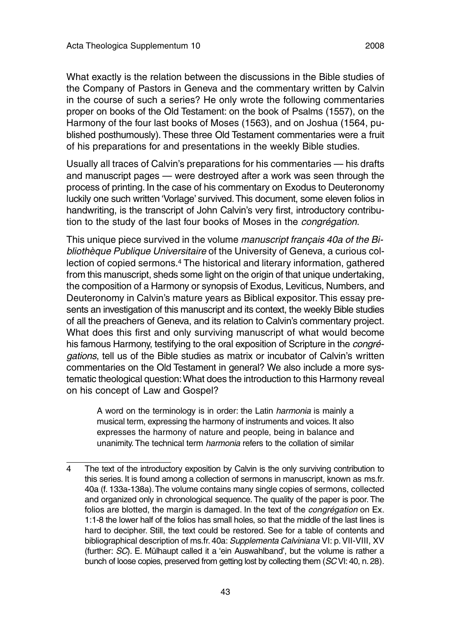What exactly is the relation between the discussions in the Bible studies of the Company of Pastors in Geneva and the commentary written by Calvin in the course of such a series? He only wrote the following commentaries proper on books of the Old Testament: on the book of Psalms (1557), on the Harmony of the four last books of Moses (1563), and on Joshua (1564, published posthumously). These three Old Testament commentaries were a fruit of his preparations for and presentations in the weekly Bible studies.

Usually all traces of Calvin's preparations for his commentaries — his drafts and manuscript pages — were destroyed after a work was seen through the process of printing. In the case of his commentary on Exodus to Deuteronomy luckily one such written 'Vorlage' survived.This document, some eleven folios in handwriting, is the transcript of John Calvin's very first, introductory contribution to the study of the last four books of Moses in the congrégation.

This unique piece survived in the volume manuscript français 40a of the Bibliothèque Publique Universitaire of the University of Geneva, a curious collection of copied sermons.4 The historical and literary information, gathered from this manuscript, sheds some light on the origin of that unique undertaking, the composition of a Harmony or synopsis of Exodus, Leviticus, Numbers, and Deuteronomy in Calvin's mature years as Biblical expositor. This essay presents an investigation of this manuscript and its context, the weekly Bible studies of all the preachers of Geneva, and its relation to Calvin's commentary project. What does this first and only surviving manuscript of what would become his famous Harmony, testifying to the oral exposition of Scripture in the *congré*gations, tell us of the Bible studies as matrix or incubator of Calvin's written commentaries on the Old Testament in general? We also include a more systematic theological question:What does the introduction to this Harmony reveal on his concept of Law and Gospel?

A word on the terminology is in order: the Latin harmonia is mainly a musical term, expressing the harmony of instruments and voices. It also expresses the harmony of nature and people, being in balance and unanimity. The technical term *harmonia* refers to the collation of similar

The text of the introductory exposition by Calvin is the only surviving contribution to this series. It is found among a collection of sermons in manuscript, known as ms.fr. 40a (f. 133a-138a).The volume contains many single copies of sermons, collected and organized only in chronological sequence. The quality of the paper is poor. The folios are blotted, the margin is damaged. In the text of the congrégation on Ex. 1:1-8 the lower half of the folios has small holes, so that the middle of the last lines is hard to decipher. Still, the text could be restored. See for a table of contents and bibliographical description of ms.fr. 40a: Supplementa Calviniana VI: p. VII-VIII, XV (further: SC). E. Mülhaupt called it a 'ein Auswahlband', but the volume is rather a bunch of loose copies, preserved from getting lost by collecting them (SC VI: 40, n. 28).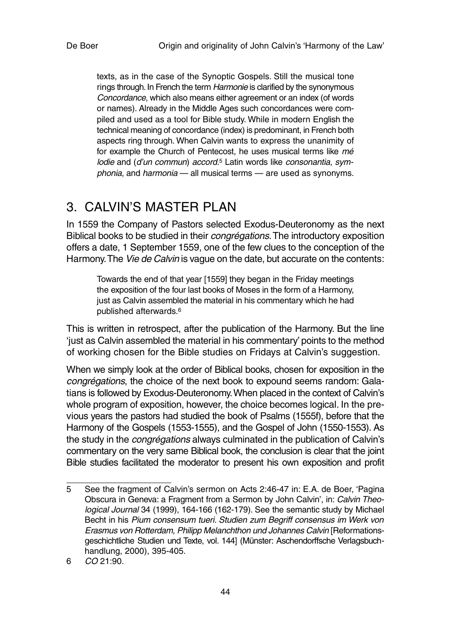texts, as in the case of the Synoptic Gospels. Still the musical tone rings through. In French the term Harmonie is clarified by the synonymous Concordance, which also means either agreement or an index (of words or names). Already in the Middle Ages such concordances were compiled and used as a tool for Bible study. While in modern English the technical meaning of concordance (index) is predominant, in French both aspects ring through. When Calvin wants to express the unanimity of for example the Church of Pentecost, he uses musical terms like mé *lodie* and (*d'un commun*) *accord*.<sup>5</sup> Latin words like *consonantia, sym*phonia, and harmonia — all musical terms — are used as synonyms.

# 3. CALVIN'S MASTER PLAN

In 1559 the Company of Pastors selected Exodus-Deuteronomy as the next Biblical books to be studied in their congrégations.The introductory exposition offers a date, 1 September 1559, one of the few clues to the conception of the Harmony. The Vie de Calvin is vague on the date, but accurate on the contents:

Towards the end of that year [1559] they began in the Friday meetings the exposition of the four last books of Moses in the form of a Harmony, just as Calvin assembled the material in his commentary which he had published afterwards.6

This is written in retrospect, after the publication of the Harmony. But the line 'just as Calvin assembled the material in his commentary' points to the method of working chosen for the Bible studies on Fridays at Calvin's suggestion.

When we simply look at the order of Biblical books, chosen for exposition in the congrégations, the choice of the next book to expound seems random: Galatians is followed by Exodus-Deuteronomy.When placed in the context of Calvin's whole program of exposition, however, the choice becomes logical. In the previous years the pastors had studied the book of Psalms (1555f), before that the Harmony of the Gospels (1553-1555), and the Gospel of John (1550-1553). As the study in the congrégations always culminated in the publication of Calvin's commentary on the very same Biblical book, the conclusion is clear that the joint Bible studies facilitated the moderator to present his own exposition and profit

<sup>5</sup> See the fragment of Calvin's sermon on Acts 2:46-47 in: E.A. de Boer, 'Pagina Obscura in Geneva: a Fragment from a Sermon by John Calvin', in: Calvin Theological Journal 34 (1999), 164-166 (162-179). See the semantic study by Michael Becht in his Pium consensum tueri. Studien zum Begriff consensus im Werk von Erasmus von Rotterdam, Philipp Melanchthon und Johannes Calvin [Reformationsgeschichtliche Studien und Texte, vol. 144] (Münster: Aschendorffsche Verlagsbuchhandlung, 2000), 395-405.

<sup>6</sup> CO 21:90.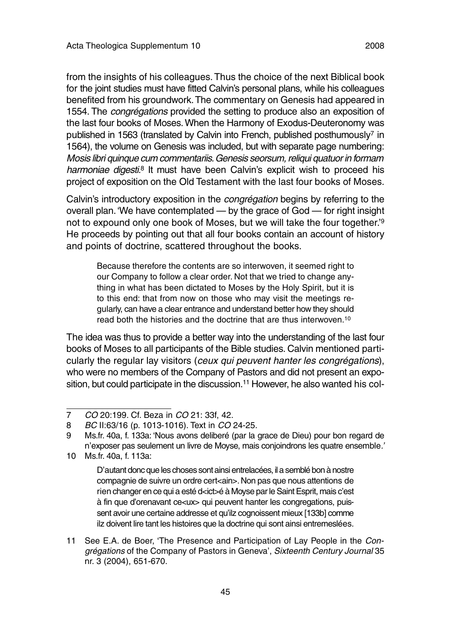from the insights of his colleagues.Thus the choice of the next Biblical book for the joint studies must have fitted Calvin's personal plans, while his colleagues benefited from his groundwork.The commentary on Genesis had appeared in 1554. The congrégations provided the setting to produce also an exposition of the last four books of Moses. When the Harmony of Exodus-Deuteronomy was published in 1563 (translated by Calvin into French, published posthumously<sup>7</sup> in 1564), the volume on Genesis was included, but with separate page numbering: Mosis libri quinque cum commentariis.Genesis seorsum, reliqui quatuor in formam harmoniae digesti.<sup>8</sup> It must have been Calvin's explicit wish to proceed his project of exposition on the Old Testament with the last four books of Moses.

Calvin's introductory exposition in the congrégation begins by referring to the overall plan.'We have contemplated — by the grace of God — for right insight not to expound only one book of Moses, but we will take the four together.<sup>'9</sup> He proceeds by pointing out that all four books contain an account of history and points of doctrine, scattered throughout the books.

Because therefore the contents are so interwoven, it seemed right to our Company to follow a clear order. Not that we tried to change anything in what has been dictated to Moses by the Holy Spirit, but it is to this end: that from now on those who may visit the meetings regularly, can have a clear entrance and understand better how they should read both the histories and the doctrine that are thus interwoven 10

The idea was thus to provide a better way into the understanding of the last four books of Moses to all participants of the Bible studies. Calvin mentioned particularly the regular lay visitors (ceux qui peuvent hanter les congrégations), who were no members of the Company of Pastors and did not present an exposition, but could participate in the discussion.<sup>11</sup> However, he also wanted his col-

<sup>7</sup> CO 20:199. Cf. Beza in CO 21: 33f, 42.

<sup>8</sup> BC II:63/16 (p. 1013-1016). Text in CO 24-25.

<sup>9</sup> Ms.fr. 40a, f. 133a: 'Nous avons deliberé (par la grace de Dieu) pour bon regard de n'exposer pas seulement un livre de Moyse, mais conjoindrons les quatre ensemble.'

<sup>10</sup> Ms.fr. 40a, f. 113a:

D'autant donc que les choses sont ainsi entrelacées, il a semblé bon à nostre compagnie de suivre un ordre cert<ain>. Non pas que nous attentions de rien changer en ce qui a esté d<ict>é à Moyse par le Saint Esprit, mais c'est à fin que d'orenavant ce<ux> qui peuvent hanter les congregations, puissent avoir une certaine addresse et qu'ilz cognoissent mieux [133b] comme ilz doivent lire tant les histoires que la doctrine qui sont ainsi entremeslées.

<sup>11</sup> See E.A. de Boer, 'The Presence and Participation of Lay People in the Congrégations of the Company of Pastors in Geneva', Sixteenth Century Journal 35 nr. 3 (2004), 651-670.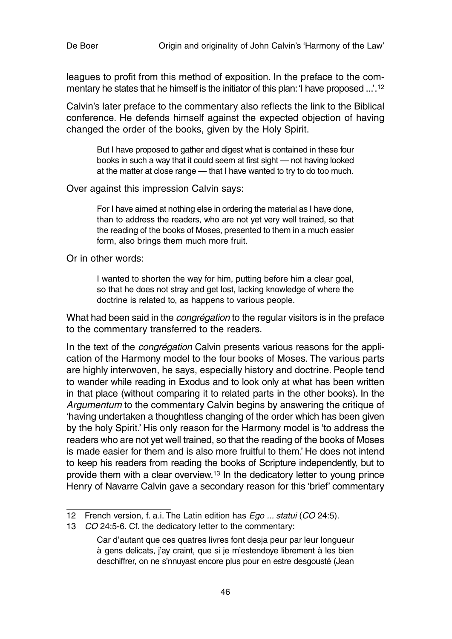leagues to profit from this method of exposition. In the preface to the commentary he states that he himself is the initiator of this plan: 'I have proposed ...'.<sup>12</sup>

Calvin's later preface to the commentary also reflects the link to the Biblical conference. He defends himself against the expected objection of having changed the order of the books, given by the Holy Spirit.

But I have proposed to gather and digest what is contained in these four books in such a way that it could seem at first sight — not having looked at the matter at close range — that I have wanted to try to do too much.

Over against this impression Calvin says:

For I have aimed at nothing else in ordering the material as I have done, than to address the readers, who are not yet very well trained, so that the reading of the books of Moses, presented to them in a much easier form, also brings them much more fruit.

Or in other words:

I wanted to shorten the way for him, putting before him a clear goal, so that he does not stray and get lost, lacking knowledge of where the doctrine is related to, as happens to various people.

What had been said in the *congrégation* to the regular visitors is in the preface to the commentary transferred to the readers.

In the text of the *congrégation* Calvin presents various reasons for the application of the Harmony model to the four books of Moses. The various parts are highly interwoven, he says, especially history and doctrine. People tend to wander while reading in Exodus and to look only at what has been written in that place (without comparing it to related parts in the other books). In the Argumentum to the commentary Calvin begins by answering the critique of 'having undertaken a thoughtless changing of the order which has been given by the holy Spirit.' His only reason for the Harmony model is 'to address the readers who are not yet well trained, so that the reading of the books of Moses is made easier for them and is also more fruitful to them.' He does not intend to keep his readers from reading the books of Scripture independently, but to provide them with a clear overview.13 In the dedicatory letter to young prince Henry of Navarre Calvin gave a secondary reason for this 'brief' commentary

<sup>12</sup> French version, f. a.i. The Latin edition has Ego ... statui (CO 24:5).

<sup>13</sup> CO 24:5-6. Cf. the dedicatory letter to the commentary:

Car d'autant que ces quatres livres font desja peur par leur longueur à gens delicats, j'ay craint, que si je m'estendoye librement à les bien deschiffrer, on ne s'nnuyast encore plus pour en estre desgousté (Jean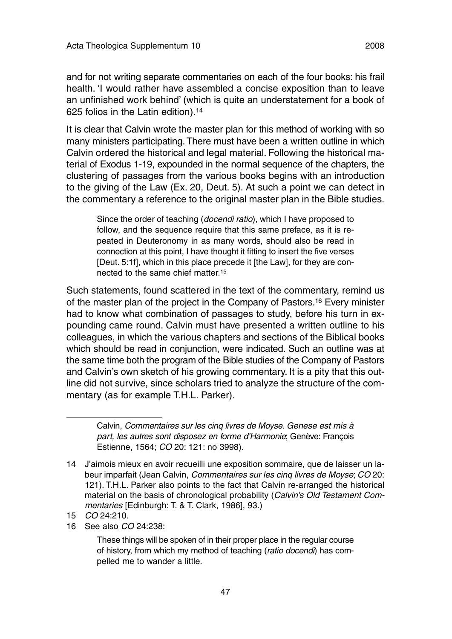and for not writing separate commentaries on each of the four books: his frail health. 'I would rather have assembled a concise exposition than to leave an unfinished work behind' (which is quite an understatement for a book of 625 folios in the Latin edition).14

It is clear that Calvin wrote the master plan for this method of working with so many ministers participating. There must have been a written outline in which Calvin ordered the historical and legal material. Following the historical material of Exodus 1-19, expounded in the normal sequence of the chapters, the clustering of passages from the various books begins with an introduction to the giving of the Law (Ex. 20, Deut. 5). At such a point we can detect in the commentary a reference to the original master plan in the Bible studies.

Since the order of teaching (docendi ratio), which I have proposed to follow, and the sequence require that this same preface, as it is repeated in Deuteronomy in as many words, should also be read in connection at this point, I have thought it fitting to insert the five verses [Deut. 5:1f], which in this place precede it [the Law], for they are connected to the same chief matter.<sup>15</sup>

Such statements, found scattered in the text of the commentary, remind us of the master plan of the project in the Company of Pastors.16 Every minister had to know what combination of passages to study, before his turn in expounding came round. Calvin must have presented a written outline to his colleagues, in which the various chapters and sections of the Biblical books which should be read in conjunction, were indicated. Such an outline was at the same time both the program of the Bible studies of the Company of Pastors and Calvin's own sketch of his growing commentary. It is a pity that this outline did not survive, since scholars tried to analyze the structure of the commentary (as for example T.H.L. Parker).

Calvin, Commentaires sur les cinq livres de Moyse. Genese est mis à part, les autres sont disposez en forme d'Harmonie; Genève: François Estienne, 1564; CO 20: 121: no 3998).

<sup>14</sup> J'aimois mieux en avoir recueilli une exposition sommaire, que de laisser un labeur imparfait (Jean Calvin, Commentaires sur les cinq livres de Moyse; CO 20: 121). T.H.L. Parker also points to the fact that Calvin re-arranged the historical material on the basis of chronological probability (Calvin's Old Testament Commentaries [Edinburgh: T. & T. Clark, 1986], 93.)

<sup>15</sup> CO 24:210.

<sup>16</sup> See also CO 24:238:

These things will be spoken of in their proper place in the regular course of history, from which my method of teaching (ratio docendi) has compelled me to wander a little.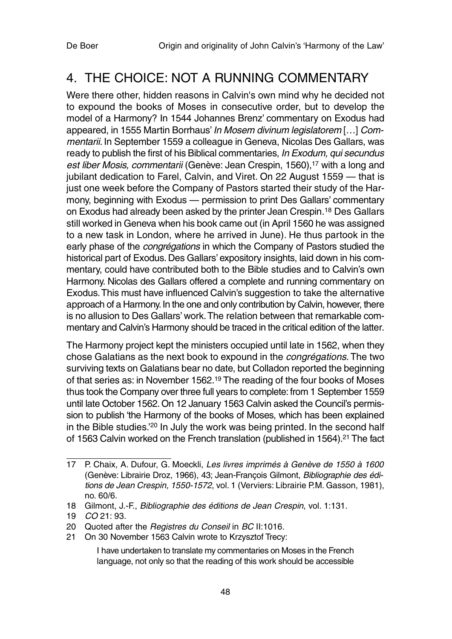# 4. THE CHOICE: NOT A RUNNING COMMENTARY

Were there other, hidden reasons in Calvin's own mind why he decided not to expound the books of Moses in consecutive order, but to develop the model of a Harmony? In 1544 Johannes Brenz' commentary on Exodus had appeared, in 1555 Martin Borrhaus' In Mosem divinum legislatorem […] Commentarii. In September 1559 a colleague in Geneva, Nicolas Des Gallars, was ready to publish the first of his Biblical commentaries, In Exodum, qui secundus est liber Mosis, commentarii (Genève: Jean Crespin, 1560), <sup>17</sup> with a long and jubilant dedication to Farel, Calvin, and Viret. On 22 August 1559 — that is just one week before the Company of Pastors started their study of the Harmony, beginning with Exodus — permission to print Des Gallars' commentary on Exodus had already been asked by the printer Jean Crespin.18 Des Gallars still worked in Geneva when his book came out (in April 1560 he was assigned to a new task in London, where he arrived in June). He thus partook in the early phase of the *congrégations* in which the Company of Pastors studied the historical part of Exodus. Des Gallars' expository insights, laid down in his commentary, could have contributed both to the Bible studies and to Calvin's own Harmony. Nicolas des Gallars offered a complete and running commentary on Exodus.This must have influenced Calvin's suggestion to take the alternative approach of a Harmony. In the one and only contribution by Calvin, however, there is no allusion to Des Gallars' work.The relation between that remarkable commentary and Calvin's Harmony should be traced in the critical edition of the latter.

The Harmony project kept the ministers occupied until late in 1562, when they chose Galatians as the next book to expound in the congrégations. The two surviving texts on Galatians bear no date, but Colladon reported the beginning of that series as: in November 1562.19 The reading of the four books of Moses thus took the Company over three full years to complete: from 1 September 1559 until late October 1562. On 12 January 1563 Calvin asked the Council's permission to publish 'the Harmony of the books of Moses, which has been explained in the Bible studies.'20 In July the work was being printed. In the second half of 1563 Calvin worked on the French translation (published in 1564).<sup>21</sup> The fact

21 On 30 November 1563 Calvin wrote to Krzysztof Trecy:

I have undertaken to translate my commentaries on Moses in the French language, not only so that the reading of this work should be accessible

<sup>17</sup> P. Chaix, A. Dufour, G. Moeckli, Les livres imprimés à Genève de 1550 à 1600 (Genève: Librairie Droz, 1966), 43; Jean-François Gilmont, Bibliographie des éditions de Jean Crespin, 1550-1572, vol. 1 (Verviers: Librairie P.M. Gasson, 1981), no. 60/6.

<sup>18</sup> Gilmont, J.-F., Bibliographie des éditions de Jean Crespin, vol. 1:131.

<sup>19</sup> CO 21: 93.

<sup>20</sup> Quoted after the Registres du Conseil in BC II:1016.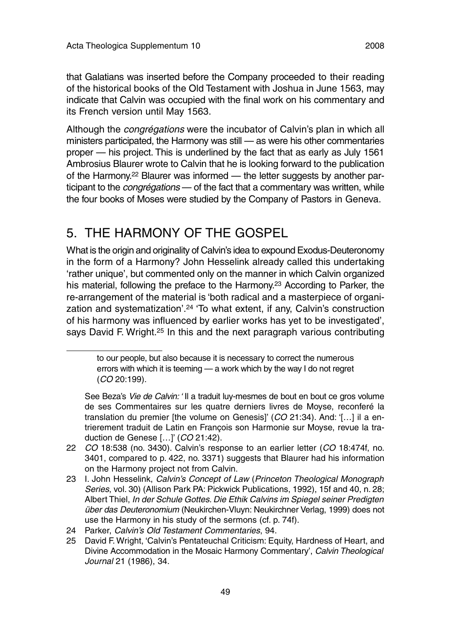that Galatians was inserted before the Company proceeded to their reading of the historical books of the Old Testament with Joshua in June 1563, may indicate that Calvin was occupied with the final work on his commentary and its French version until May 1563.

Although the congrégations were the incubator of Calvin's plan in which all ministers participated, the Harmony was still — as were his other commentaries proper — his project. This is underlined by the fact that as early as July 1561 Ambrosius Blaurer wrote to Calvin that he is looking forward to the publication of the Harmony.22 Blaurer was informed — the letter suggests by another participant to the *congrégations* — of the fact that a commentary was written, while the four books of Moses were studied by the Company of Pastors in Geneva.

### 5. THE HARMONY OF THE GOSPEL

What is the origin and originality of Calvin's idea to expound Exodus-Deuteronomy in the form of a Harmony? John Hesselink already called this undertaking 'rather unique', but commented only on the manner in which Calvin organized his material, following the preface to the Harmony.<sup>23</sup> According to Parker, the re-arrangement of the material is 'both radical and a masterpiece of organization and systematization'.<sup>24</sup> 'To what extent, if any, Calvin's construction of his harmony was influenced by earlier works has yet to be investigated', says David F. Wright.<sup>25</sup> In this and the next paragraph various contributing

to our people, but also because it is necessary to correct the numerous errors with which it is teeming — a work which by the way I do not regret (CO 20:199).

See Beza's Vie de Calvin: 'Il a traduit luv-mesmes de bout en bout ce gros volume de ses Commentaires sur les quatre derniers livres de Moyse, reconferé la translation du premier [the volume on Genesis]' (CO 21:34). And: '[...] il a entrierement traduit de Latin en François son Harmonie sur Moyse, revue la traduction de Genese […]' (CO 21:42).

<sup>22</sup> CO 18:538 (no. 3430). Calvin's response to an earlier letter (CO 18:474f, no. 3401, compared to p. 422, no. 3371) suggests that Blaurer had his information on the Harmony project not from Calvin.

<sup>23</sup> I. John Hesselink, Calvin's Concept of Law (Princeton Theological Monograph Series, vol. 30) (Allison Park PA: Pickwick Publications, 1992), 15f and 40, n. 28; Albert Thiel, In der Schule Gottes. Die Ethik Calvins im Spiegel seiner Predigten über das Deuteronomium (Neukirchen-Vluyn: Neukirchner Verlag, 1999) does not use the Harmony in his study of the sermons (cf. p. 74f).

<sup>24</sup> Parker, Calvin's Old Testament Commentaries, 94.

<sup>25</sup> David F. Wright, 'Calvin's Pentateuchal Criticism: Equity, Hardness of Heart, and Divine Accommodation in the Mosaic Harmony Commentary', Calvin Theological Journal 21 (1986), 34.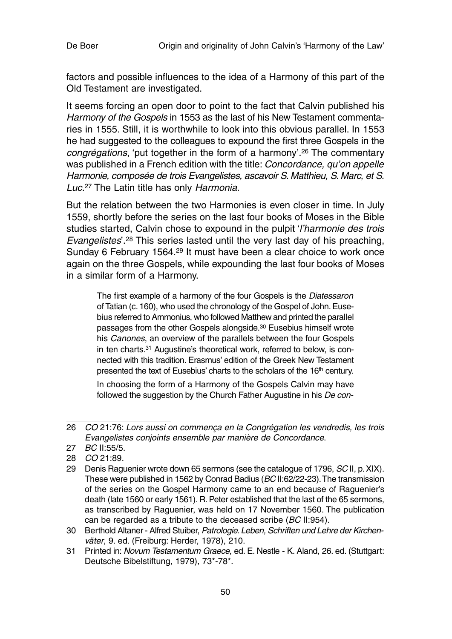factors and possible influences to the idea of a Harmony of this part of the Old Testament are investigated.

It seems forcing an open door to point to the fact that Calvin published his Harmony of the Gospels in 1553 as the last of his New Testament commentaries in 1555. Still, it is worthwhile to look into this obvious parallel. In 1553 he had suggested to the colleagues to expound the first three Gospels in the congrégations, 'put together in the form of a harmony'.26 The commentary was published in a French edition with the title: Concordance, qu'on appelle Harmonie, composée de trois Evangelistes, ascavoir S. Matthieu, S. Marc, et S. Luc.<sup>27</sup> The Latin title has only Harmonia.

But the relation between the two Harmonies is even closer in time. In July 1559, shortly before the series on the last four books of Moses in the Bible studies started, Calvin chose to expound in the pulpit 'l'harmonie des trois Evangelistes'.<sup>28</sup> This series lasted until the very last day of his preaching, Sunday 6 February 1564.29 It must have been a clear choice to work once again on the three Gospels, while expounding the last four books of Moses in a similar form of a Harmony.

The first example of a harmony of the four Gospels is the *Diatessaron* of Tatian (c. 160), who used the chronology of the Gospel of John. Eusebius referred to Ammonius, who followed Matthew and printed the parallel passages from the other Gospels alongside.30 Eusebius himself wrote his *Canones*, an overview of the parallels between the four Gospels in ten charts.31 Augustine's theoretical work, referred to below, is connected with this tradition. Erasmus' edition of the Greek New Testament presented the text of Eusebius' charts to the scholars of the 16<sup>th</sup> century.

In choosing the form of a Harmony of the Gospels Calvin may have followed the suggestion by the Church Father Augustine in his De con-

<sup>26</sup> CO 21:76: Lors aussi on commença en la Congrégation les vendredis, les trois Evangelistes conjoints ensemble par manière de Concordance.

<sup>27</sup> BC II:55/5.

<sup>28</sup> CO 21:89.

<sup>29</sup> Denis Raguenier wrote down 65 sermons (see the catalogue of 1796, SC II, p. XIX). These were published in 1562 by Conrad Badius (BC II:62/22-23).The transmission of the series on the Gospel Harmony came to an end because of Raguenier's death (late 1560 or early 1561). R. Peter established that the last of the 65 sermons, as transcribed by Raguenier, was held on 17 November 1560. The publication can be regarded as a tribute to the deceased scribe (BC II:954).

<sup>30</sup> Berthold Altaner - Alfred Stuiber, Patrologie.Leben, Schriften und Lehre der Kirchenväter, 9. ed. (Freiburg: Herder, 1978), 210.

<sup>31</sup> Printed in: Novum Testamentum Graece, ed. E. Nestle - K. Aland, 26. ed. (Stuttgart: Deutsche Bibelstiftung, 1979), 73\*-78\*.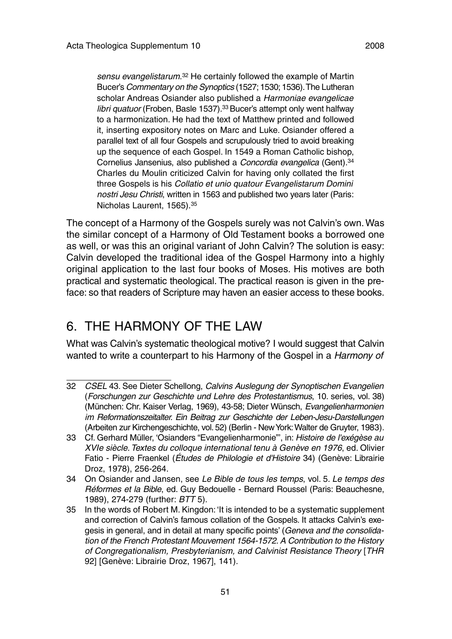sensu evangelistarum.<sup>32</sup> He certainly followed the example of Martin Bucer's Commentary on the Synoptics (1527; 1530; 1536). The Lutheran scholar Andreas Osiander also published a Harmoniae evangelicae libri quatuor (Froben, Basle 1537).<sup>33</sup> Bucer's attempt only went halfway to a harmonization. He had the text of Matthew printed and followed it, inserting expository notes on Marc and Luke. Osiander offered a parallel text of all four Gospels and scrupulously tried to avoid breaking up the sequence of each Gospel. In 1549 a Roman Catholic bishop, Cornelius Jansenius, also published a Concordia evangelica (Gent).<sup>34</sup> Charles du Moulin criticized Calvin for having only collated the first three Gospels is his Collatio et unio quatour Evangelistarum Domini nostri Jesu Christi, written in 1563 and published two years later (Paris: Nicholas Laurent, 1565).35

The concept of a Harmony of the Gospels surely was not Calvin's own. Was the similar concept of a Harmony of Old Testament books a borrowed one as well, or was this an original variant of John Calvin? The solution is easy: Calvin developed the traditional idea of the Gospel Harmony into a highly original application to the last four books of Moses. His motives are both practical and systematic theological. The practical reason is given in the preface: so that readers of Scripture may haven an easier access to these books.

### 6. THE HARMONY OF THE LAW

What was Calvin's systematic theological motive? I would suggest that Calvin wanted to write a counterpart to his Harmony of the Gospel in a *Harmony of* 

<sup>32</sup> CSEL 43. See Dieter Schellong, Calvins Auslegung der Synoptischen Evangelien (Forschungen zur Geschichte und Lehre des Protestantismus, 10. series, vol. 38) (München: Chr. Kaiser Verlag, 1969), 43-58; Dieter Wünsch, Evangelienharmonien im Reformationszeitalter. Ein Beitrag zur Geschichte der Leben-Jesu-Darstellungen (Arbeiten zur Kirchengeschichte, vol. 52) (Berlin - New York:Walter de Gruyter, 1983).

<sup>33</sup> Cf. Gerhard Müller, 'Osianders "Evangelienharmonie"', in: Histoire de l'exégèse au XVIe siècle. Textes du colloque international tenu à Genève en 1976, ed. Olivier Fatio - Pierre Fraenkel (Études de Philologie et d'Histoire 34) (Genève: Librairie Droz, 1978), 256-264.

<sup>34</sup> On Osiander and Jansen, see Le Bible de tous les temps, vol. 5. Le temps des Réformes et la Bible, ed. Guy Bedouelle - Bernard Roussel (Paris: Beauchesne, 1989), 274-279 (further: BTT 5).

<sup>35</sup> In the words of Robert M. Kingdon: 'It is intended to be a systematic supplement and correction of Calvin's famous collation of the Gospels. It attacks Calvin's exegesis in general, and in detail at many specific points' (Geneva and the consolidation of the French Protestant Mouvement 1564-1572. A Contribution to the History of Congregationalism, Presbyterianism, and Calvinist Resistance Theory [THR 92] [Genève: Librairie Droz, 1967], 141).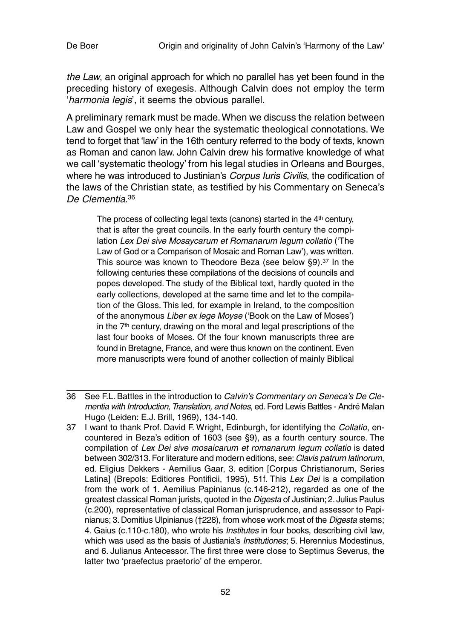the Law, an original approach for which no parallel has yet been found in the preceding history of exegesis. Although Calvin does not employ the term 'harmonia legis', it seems the obvious parallel.

A preliminary remark must be made.When we discuss the relation between Law and Gospel we only hear the systematic theological connotations. We tend to forget that 'law' in the 16th century referred to the body of texts, known as Roman and canon law. John Calvin drew his formative knowledge of what we call 'systematic theology' from his legal studies in Orleans and Bourges, where he was introduced to Justinian's *Corpus Iuris Civilis*, the codification of the laws of the Christian state, as testified by his Commentary on Seneca's De Clementia<sup>36</sup>

The process of collecting legal texts (canons) started in the 4<sup>th</sup> century, that is after the great councils. In the early fourth century the compilation Lex Dei sive Mosaycarum et Romanarum legum collatio ('The Law of God or a Comparison of Mosaic and Roman Law'), was written. This source was known to Theodore Beza (see below §9).37 In the following centuries these compilations of the decisions of councils and popes developed. The study of the Biblical text, hardly quoted in the early collections, developed at the same time and let to the compilation of the Gloss. This led, for example in Ireland, to the composition of the anonymous Liber ex lege Moyse ('Book on the Law of Moses') in the 7<sup>th</sup> century, drawing on the moral and legal prescriptions of the last four books of Moses. Of the four known manuscripts three are found in Bretagne, France, and were thus known on the continent. Even more manuscripts were found of another collection of mainly Biblical

<sup>36</sup> See F.L. Battles in the introduction to Calvin's Commentary on Seneca's De Clementia with Introduction, Translation, and Notes, ed.Ford Lewis Battles - André Malan Hugo (Leiden: E.J. Brill, 1969), 134-140.

<sup>37</sup> I want to thank Prof. David F. Wright, Edinburgh, for identifying the Collatio, encountered in Beza's edition of 1603 (see §9), as a fourth century source. The compilation of Lex Dei sive mosaicarum et romanarum legum collatio is dated between 302/313. For literature and modern editions, see: Clavis patrum latinorum, ed. Eligius Dekkers - Aemilius Gaar, 3. edition [Corpus Christianorum, Series Latina] (Brepols: Editiores Pontificii, 1995), 51f. This Lex Dei is a compilation from the work of 1. Aemilius Papinianus (c.146-212), regarded as one of the greatest classical Roman jurists, quoted in the Digesta of Justinian; 2. Julius Paulus (c.200), representative of classical Roman jurisprudence, and assessor to Papinianus; 3. Domitius Ulpinianus (†228), from whose work most of the *Digesta* stems; 4. Gaius (c.110-c.180), who wrote his Institutes in four books, describing civil law, which was used as the basis of Justiania's *Institutiones*; 5. Herennius Modestinus, and 6. Julianus Antecessor. The first three were close to Septimus Severus, the latter two 'praefectus praetorio' of the emperor.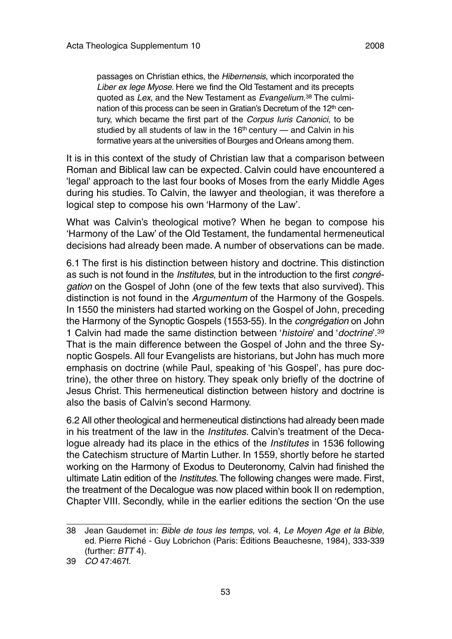passages on Christian ethics, the Hibernensis, which incorporated the Liber ex lege Myose. Here we find the Old Testament and its precepts quoted as Lex, and the New Testament as Evangelium.<sup>38</sup> The culmination of this process can be seen in Gratian's Decretum of the 12<sup>th</sup> century, which became the first part of the Corpus Iuris Canonici, to be studied by all students of law in the  $16<sup>th</sup>$  century — and Calvin in his formative years at the universities of Bourges and Orleans among them.

It is in this context of the study of Christian law that a comparison between Roman and Biblical law can be expected. Calvin could have encountered a 'legal' approach to the last four books of Moses from the early Middle Ages during his studies. To Calvin, the lawyer and theologian, it was therefore a logical step to compose his own 'Harmony of the Law'.

What was Calvin's theological motive? When he began to compose his 'Harmony of the Law' of the Old Testament, the fundamental hermeneutical decisions had already been made. A number of observations can be made.

6.1 The first is his distinction between history and doctrine. This distinction as such is not found in the *Institutes*, but in the introduction to the first *congré*gation on the Gospel of John (one of the few texts that also survived). This distinction is not found in the Argumentum of the Harmony of the Gospels. In 1550 the ministers had started working on the Gospel of John, preceding the Harmony of the Synoptic Gospels (1553-55). In the congrégation on John 1 Calvin had made the same distinction between 'histoire' and 'doctrine'.39 That is the main difference between the Gospel of John and the three Synoptic Gospels. All four Evangelists are historians, but John has much more emphasis on doctrine (while Paul, speaking of 'his Gospel', has pure doctrine), the other three on history. They speak only briefly of the doctrine of Jesus Christ. This hermeneutical distinction between history and doctrine is also the basis of Calvin's second Harmony.

6.2 All other theological and hermeneutical distinctions had already been made in his treatment of the law in the Institutes. Calvin's treatment of the Decalogue already had its place in the ethics of the Institutes in 1536 following the Catechism structure of Martin Luther. In 1559, shortly before he started working on the Harmony of Exodus to Deuteronomy, Calvin had finished the ultimate Latin edition of the Institutes.The following changes were made. First, the treatment of the Decalogue was now placed within book II on redemption, Chapter VIII. Secondly, while in the earlier editions the section 'On the use

<sup>38</sup> Jean Gaudemet in: Bible de tous les temps, vol. 4, Le Moyen Age et la Bible, ed. Pierre Riché - Guy Lobrichon (Paris: Éditions Beauchesne, 1984), 333-339 (further: BTT 4).

<sup>39</sup> CO 47:467f.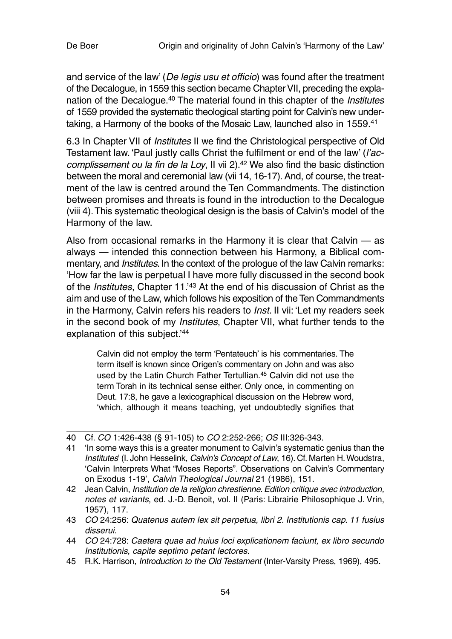and service of the law' (De legis usu et officio) was found after the treatment of the Decalogue, in 1559 this section became Chapter VII, preceding the explanation of the Decalogue.40 The material found in this chapter of the Institutes of 1559 provided the systematic theological starting point for Calvin's new undertaking, a Harmony of the books of the Mosaic Law, launched also in 1559.41

6.3 In Chapter VII of Institutes II we find the Christological perspective of Old Testament law. 'Paul justly calls Christ the fulfilment or end of the law' (l'accomplissement ou la fin de la Lov. II vii 2).<sup>42</sup> We also find the basic distinction between the moral and ceremonial law (vii 14, 16-17). And, of course, the treatment of the law is centred around the Ten Commandments. The distinction between promises and threats is found in the introduction to the Decalogue (viii 4).This systematic theological design is the basis of Calvin's model of the Harmony of the law.

Also from occasional remarks in the Harmony it is clear that Calvin — as always — intended this connection between his Harmony, a Biblical commentary, and *Institutes*. In the context of the prologue of the law Calvin remarks: 'How far the law is perpetual I have more fully discussed in the second book of the Institutes, Chapter 11.'43 At the end of his discussion of Christ as the aim and use of the Law, which follows his exposition of the Ten Commandments in the Harmony, Calvin refers his readers to Inst. II vii: 'Let my readers seek in the second book of my Institutes, Chapter VII, what further tends to the explanation of this subject.'44

Calvin did not employ the term 'Pentateuch' is his commentaries. The term itself is known since Origen's commentary on John and was also used by the Latin Church Father Tertullian.<sup>45</sup> Calvin did not use the term Torah in its technical sense either. Only once, in commenting on Deut. 17:8, he gave a lexicographical discussion on the Hebrew word, 'which, although it means teaching, yet undoubtedly signifies that

45 R.K. Harrison, Introduction to the Old Testament (Inter-Varsity Press, 1969), 495.

<sup>40</sup> Cf. CO 1:426-438 (§ 91-105) to CO 2:252-266; OS III:326-343.

<sup>41 &#</sup>x27;In some ways this is a greater monument to Calvin's systematic genius than the Institutes' (I. John Hesselink, Calvin's Concept of Law, 16). Cf. Marten H.Woudstra, 'Calvin Interprets What "Moses Reports". Observations on Calvin's Commentary on Exodus 1-19', Calvin Theological Journal 21 (1986), 151.

<sup>42</sup> Jean Calvin, Institution de la religion chrestienne. Edition critique avec introduction, notes et variants, ed. J.-D. Benoit, vol. II (Paris: Librairie Philosophique J. Vrin, 1957), 117.

<sup>43</sup> CO 24:256: Quatenus autem lex sit perpetua, libri 2. Institutionis cap. 11 fusius disserui.

<sup>44</sup> CO 24:728: Caetera quae ad huius loci explicationem faciunt, ex libro secundo Institutionis, capite septimo petant lectores.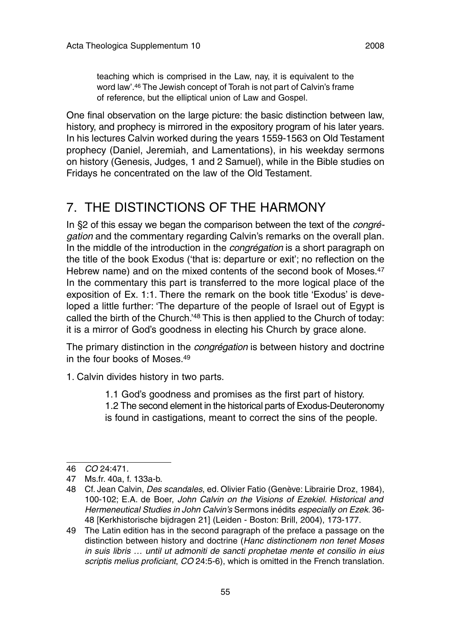teaching which is comprised in the Law, nay, it is equivalent to the word law'.46 The Jewish concept of Torah is not part of Calvin's frame of reference, but the elliptical union of Law and Gospel.

One final observation on the large picture: the basic distinction between law, history, and prophecy is mirrored in the expository program of his later years. In his lectures Calvin worked during the years 1559-1563 on Old Testament prophecy (Daniel, Jeremiah, and Lamentations), in his weekday sermons on history (Genesis, Judges, 1 and 2 Samuel), while in the Bible studies on Fridays he concentrated on the law of the Old Testament.

### 7. THE DISTINCTIONS OF THE HARMONY

In §2 of this essay we began the comparison between the text of the *congré*gation and the commentary regarding Calvin's remarks on the overall plan. In the middle of the introduction in the *congrégation* is a short paragraph on the title of the book Exodus ('that is: departure or exit'; no reflection on the Hebrew name) and on the mixed contents of the second book of Moses.<sup>47</sup> In the commentary this part is transferred to the more logical place of the exposition of Ex. 1:1. There the remark on the book title 'Exodus' is developed a little further: 'The departure of the people of Israel out of Egypt is called the birth of the Church.'48 This is then applied to the Church of today: it is a mirror of God's goodness in electing his Church by grace alone.

The primary distinction in the *congrégation* is between history and doctrine in the four books of Moses 49

1. Calvin divides history in two parts.

1.1 God's goodness and promises as the first part of history.

1.2 The second element in the historical parts of Exodus-Deuteronomy is found in castigations, meant to correct the sins of the people.

<sup>46</sup> CO 24:471.

<sup>47</sup> Ms.fr. 40a, f. 133a-b.

<sup>48</sup> Cf. Jean Calvin, Des scandales, ed. Olivier Fatio (Genève: Librairie Droz, 1984), 100-102; E.A. de Boer, John Calvin on the Visions of Ezekiel. Historical and Hermeneutical Studies in John Calvin's Sermons inédits especially on Ezek. 36- 48 [Kerkhistorische bijdragen 21] (Leiden - Boston: Brill, 2004), 173-177.

<sup>49</sup> The Latin edition has in the second paragraph of the preface a passage on the distinction between history and doctrine (Hanc distinctionem non tenet Moses in suis libris … until ut admoniti de sancti prophetae mente et consilio in eius scriptis melius proficiant, CO 24:5-6), which is omitted in the French translation.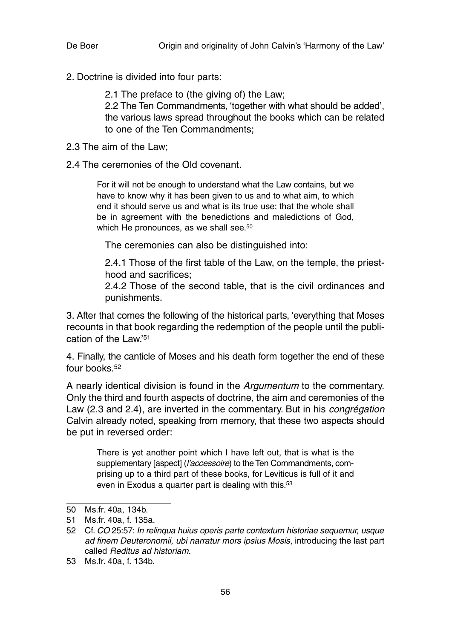- 
- 2. Doctrine is divided into four parts:

2.1 The preface to (the giving of) the Law;

2.2 The Ten Commandments, 'together with what should be added', the various laws spread throughout the books which can be related to one of the Ten Commandments;

2.3 The aim of the Law;

2.4 The ceremonies of the Old covenant.

For it will not be enough to understand what the Law contains, but we have to know why it has been given to us and to what aim, to which end it should serve us and what is its true use: that the whole shall be in agreement with the benedictions and maledictions of God, which He pronounces, as we shall see.<sup>50</sup>

The ceremonies can also be distinguished into:

2.4.1 Those of the first table of the Law, on the temple, the priesthood and sacrifices;

2.4.2 Those of the second table, that is the civil ordinances and punishments.

3. After that comes the following of the historical parts, 'everything that Moses recounts in that book regarding the redemption of the people until the publication of the Law'<sup>51</sup>

4. Finally, the canticle of Moses and his death form together the end of these four books.<sup>52</sup>

A nearly identical division is found in the Argumentum to the commentary. Only the third and fourth aspects of doctrine, the aim and ceremonies of the Law (2.3 and 2.4), are inverted in the commentary. But in his congrégation Calvin already noted, speaking from memory, that these two aspects should be put in reversed order:

There is yet another point which I have left out, that is what is the supplementary [aspect] (*l'accessoire*) to the Ten Commandments, comprising up to a third part of these books, for Leviticus is full of it and even in Exodus a quarter part is dealing with this.<sup>53</sup>

<sup>50</sup> Ms.fr. 40a, 134b.

<sup>51</sup> Ms.fr. 40a, f. 135a.

<sup>52</sup> Cf. CO 25:57: In relinqua huius operis parte contextum historiae sequemur, usque ad finem Deuteronomii, ubi narratur mors ipsius Mosis, introducing the last part called Reditus ad historiam.

<sup>53</sup> Ms.fr. 40a, f. 134b.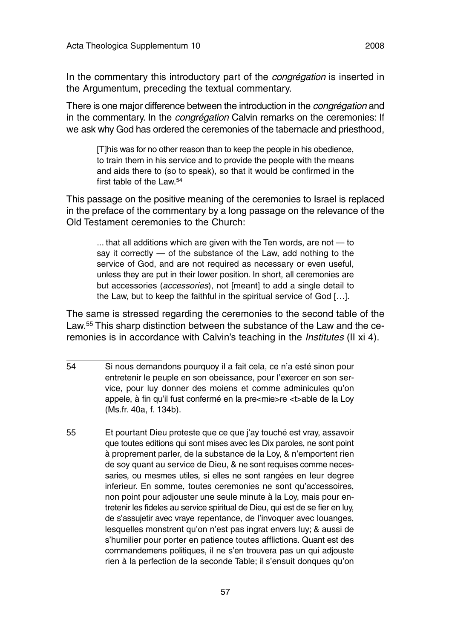In the commentary this introductory part of the *congrégation* is inserted in the Argumentum, preceding the textual commentary.

There is one major difference between the introduction in the *congrégation* and in the commentary. In the *congrégation* Calvin remarks on the ceremonies: If we ask why God has ordered the ceremonies of the tabernacle and priesthood,

[T]his was for no other reason than to keep the people in his obedience, to train them in his service and to provide the people with the means and aids there to (so to speak), so that it would be confirmed in the first table of the Law.54

This passage on the positive meaning of the ceremonies to Israel is replaced in the preface of the commentary by a long passage on the relevance of the Old Testament ceremonies to the Church:

... that all additions which are given with the Ten words, are not — to say it correctly — of the substance of the Law, add nothing to the service of God, and are not required as necessary or even useful. unless they are put in their lower position. In short, all ceremonies are but accessories (accessories), not [meant] to add a single detail to the Law, but to keep the faithful in the spiritual service of God […].

The same is stressed regarding the ceremonies to the second table of the Law.55 This sharp distinction between the substance of the Law and the ceremonies is in accordance with Calvin's teaching in the Institutes (II xi 4).

- 54 Si nous demandons pourquoy il a fait cela, ce n'a esté sinon pour entretenir le peuple en son obeissance, pour l'exercer en son service, pour luy donner des moiens et comme adminicules qu'on appele, à fin qu'il fust confermé en la pre<mie>re <t>able de la Loy (Ms.fr. 40a, f. 134b).
- 55 Et pourtant Dieu proteste que ce que j'ay touché est vray, assavoir que toutes editions qui sont mises avec les Dix paroles, ne sont point à proprement parler, de la substance de la Loy, & n'emportent rien de soy quant au service de Dieu, & ne sont requises comme necessaries, ou mesmes utiles, si elles ne sont rangées en leur degree inferieur. En somme, toutes ceremonies ne sont qu'accessoires, non point pour adjouster une seule minute à la Loy, mais pour entretenir les fideles au service spiritual de Dieu, qui est de se fier en luy, de s'assujetir avec vraye repentance, de l'invoquer avec louanges, lesquelles monstrent qu'on n'est pas ingrat envers luy; & aussi de s'humilier pour porter en patience toutes afflictions. Quant est des commandemens politiques, il ne s'en trouvera pas un qui adjouste rien à la perfection de la seconde Table; il s'ensuit donques qu'on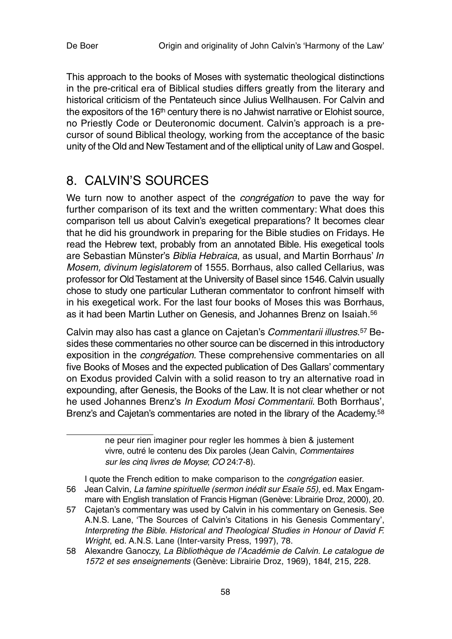This approach to the books of Moses with systematic theological distinctions in the pre-critical era of Biblical studies differs greatly from the literary and historical criticism of the Pentateuch since Julius Wellhausen. For Calvin and the expositors of the  $16<sup>th</sup>$  century there is no Jahwist narrative or Elohist source, no Priestly Code or Deuteronomic document. Calvin's approach is a precursor of sound Biblical theology, working from the acceptance of the basic unity of the Old and New Testament and of the elliptical unity of Law and Gospel.

# 8. CALVIN'S SOURCES

We turn now to another aspect of the *congrégation* to pave the way for further comparison of its text and the written commentary: What does this comparison tell us about Calvin's exegetical preparations? It becomes clear that he did his groundwork in preparing for the Bible studies on Fridays. He read the Hebrew text, probably from an annotated Bible. His exegetical tools are Sebastian Münster's Biblia Hebraica, as usual, and Martin Borrhaus' In Mosem, divinum legislatorem of 1555. Borrhaus, also called Cellarius, was professor for Old Testament at the University of Basel since 1546.Calvin usually chose to study one particular Lutheran commentator to confront himself with in his exegetical work. For the last four books of Moses this was Borrhaus, as it had been Martin Luther on Genesis, and Johannes Brenz on Isaiah.56

Calvin may also has cast a glance on Cajetan's Commentarii illustres.57 Besides these commentaries no other source can be discerned in this introductory exposition in the congrégation. These comprehensive commentaries on all five Books of Moses and the expected publication of Des Gallars' commentary on Exodus provided Calvin with a solid reason to try an alternative road in expounding, after Genesis, the Books of the Law. It is not clear whether or not he used Johannes Brenz's In Exodum Mosi Commentarii. Both Borrhaus', Brenz's and Cajetan's commentaries are noted in the library of the Academy.<sup>58</sup>

I quote the French edition to make comparison to the *congrégation* easier.

- 56 Jean Calvin, La famine spirituelle (sermon inédit sur Esaïe 55), ed. Max Engammare with English translation of Francis Higman (Genève: Librairie Droz, 2000), 20.
- 57 Cajetan's commentary was used by Calvin in his commentary on Genesis. See A.N.S. Lane, 'The Sources of Calvin's Citations in his Genesis Commentary', Interpreting the Bible. Historical and Theological Studies in Honour of David F. Wright, ed. A.N.S. Lane (Inter-varsity Press, 1997), 78.
- 58 Alexandre Ganoczy, La Bibliothèque de l'Académie de Calvin. Le catalogue de 1572 et ses enseignements (Genève: Librairie Droz, 1969), 184f, 215, 228.

ne peur rien imaginer pour regler les hommes à bien & justement vivre, outré le contenu des Dix paroles (Jean Calvin, Commentaires sur les cinq livres de Moyse; CO 24:7-8).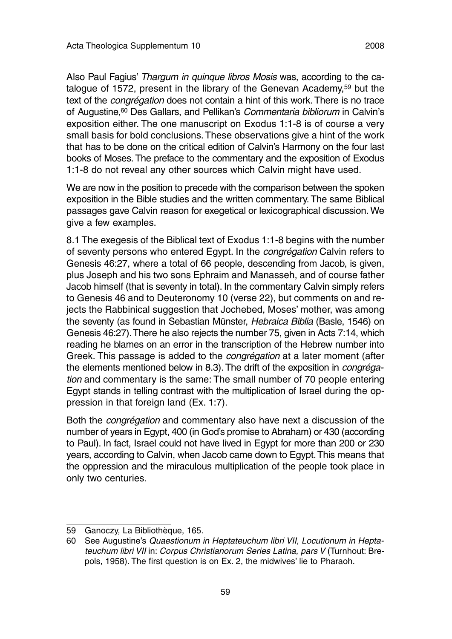Also Paul Fagius' Thargum in quinque libros Mosis was, according to the catalogue of 1572, present in the library of the Genevan Academy.<sup>59</sup> but the text of the *congrégation* does not contain a hint of this work. There is no trace of Augustine,60 Des Gallars, and Pellikan's Commentaria bibliorum in Calvin's exposition either. The one manuscript on Exodus 1:1-8 is of course a very small basis for bold conclusions. These observations give a hint of the work that has to be done on the critical edition of Calvin's Harmony on the four last books of Moses. The preface to the commentary and the exposition of Exodus 1:1-8 do not reveal any other sources which Calvin might have used.

We are now in the position to precede with the comparison between the spoken exposition in the Bible studies and the written commentary. The same Biblical passages gave Calvin reason for exegetical or lexicographical discussion. We give a few examples.

8.1 The exegesis of the Biblical text of Exodus 1:1-8 begins with the number of seventy persons who entered Egypt. In the congrégation Calvin refers to Genesis 46:27, where a total of 66 people, descending from Jacob, is given, plus Joseph and his two sons Ephraim and Manasseh, and of course father Jacob himself (that is seventy in total). In the commentary Calvin simply refers to Genesis 46 and to Deuteronomy 10 (verse 22), but comments on and rejects the Rabbinical suggestion that Jochebed, Moses' mother, was among the seventy (as found in Sebastian Münster, Hebraica Biblia (Basle, 1546) on Genesis 46:27).There he also rejects the number 75, given in Acts 7:14, which reading he blames on an error in the transcription of the Hebrew number into Greek. This passage is added to the *congrégation* at a later moment (after the elements mentioned below in 8.3). The drift of the exposition in congrégation and commentary is the same: The small number of 70 people entering Egypt stands in telling contrast with the multiplication of Israel during the oppression in that foreign land (Ex. 1:7).

Both the congrégation and commentary also have next a discussion of the number of years in Egypt, 400 (in God's promise to Abraham) or 430 (according to Paul). In fact, Israel could not have lived in Egypt for more than 200 or 230 years, according to Calvin, when Jacob came down to Egypt.This means that the oppression and the miraculous multiplication of the people took place in only two centuries.

<sup>59</sup> Ganoczy, La Bibliothèque, 165.

<sup>60</sup> See Augustine's Quaestionum in Heptateuchum libri VII, Locutionum in Heptateuchum libri VII in: Corpus Christianorum Series Latina, pars V (Turnhout: Brepols, 1958). The first question is on Ex. 2, the midwives' lie to Pharaoh.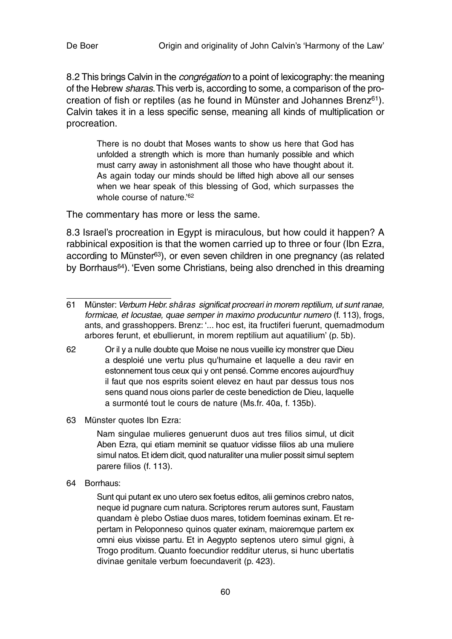8.2 This brings Calvin in the *congrégation* to a point of lexicography: the meaning of the Hebrew sharas.This verb is, according to some, a comparison of the procreation of fish or reptiles (as he found in Münster and Johannes Brenz61). Calvin takes it in a less specific sense, meaning all kinds of multiplication or procreation.

There is no doubt that Moses wants to show us here that God has unfolded a strength which is more than humanly possible and which must carry away in astonishment all those who have thought about it. As again today our minds should be lifted high above all our senses when we hear speak of this blessing of God, which surpasses the whole course of nature.<sup>'62</sup>

The commentary has more or less the same.

8.3 Israel's procreation in Egypt is miraculous, but how could it happen? A rabbinical exposition is that the women carried up to three or four (Ibn Ezra, according to Münster<sup>63</sup>), or even seven children in one pregnancy (as related by Borrhaus<sup>64</sup>). 'Even some Christians, being also drenched in this dreaming

- 62 Or il y a nulle doubte que Moise ne nous vueille icy monstrer que Dieu a desploié une vertu plus qu'humaine et laquelle a deu ravir en estonnement tous ceux qui y ont pensé. Comme encores aujourd'huy il faut que nos esprits soient elevez en haut par dessus tous nos sens quand nous oions parler de ceste benediction de Dieu, laquelle a surmonté tout le cours de nature (Ms.fr. 40a, f. 135b).
- 63 Münster quotes Ibn Ezra:

Nam singulae mulieres genuerunt duos aut tres filios simul, ut dicit Aben Ezra, qui etiam meminit se quatuor vidisse filios ab una muliere simul natos.Et idem dicit, quod naturaliter una mulier possit simul septem parere filios (f. 113).

64 Borrhaus:

Sunt qui putant ex uno utero sex foetus editos, alii geminos crebro natos, neque id pugnare cum natura. Scriptores rerum autores sunt, Faustam quandam è plebo Ostiae duos mares, totidem foeminas exinam. Et repertam in Peloponneso quinos quater exinam, maioremque partem ex omni eius vixisse partu. Et in Aegypto septenos utero simul gigni, à Trogo proditum. Quanto foecundior redditur uterus, si hunc ubertatis divinae genitale verbum foecundaverit (p. 423).

<sup>61</sup> Münster:Verbum Hebr. shâras significat procreari in morem reptilium, ut sunt ranae, formicae, et locustae, quae semper in maximo producuntur numero (f. 113), frogs, ants, and grasshoppers. Brenz: '... hoc est, ita fructiferi fuerunt, quemadmodum arbores ferunt, et ebullierunt, in morem reptilium aut aquatilium' (p. 5b).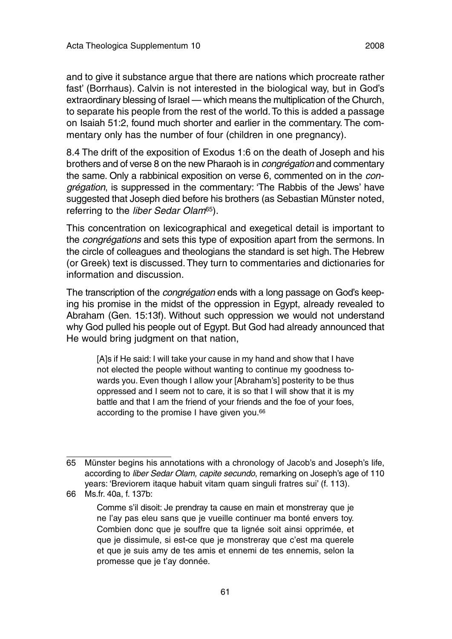and to give it substance argue that there are nations which procreate rather fast' (Borrhaus). Calvin is not interested in the biological way, but in God's extraordinary blessing of Israel — which means the multiplication of the Church, to separate his people from the rest of the world.To this is added a passage on Isaiah 51:2, found much shorter and earlier in the commentary. The commentary only has the number of four (children in one pregnancy).

8.4 The drift of the exposition of Exodus 1:6 on the death of Joseph and his brothers and of verse 8 on the new Pharaoh is in congrégation and commentary the same. Only a rabbinical exposition on verse 6, commented on in the congrégation, is suppressed in the commentary: 'The Rabbis of the Jews' have suggested that Joseph died before his brothers (as Sebastian Münster noted, referring to the liber Sedar Olam<sup>65</sup>).

This concentration on lexicographical and exegetical detail is important to the *congrégations* and sets this type of exposition apart from the sermons. In the circle of colleagues and theologians the standard is set high. The Hebrew (or Greek) text is discussed. They turn to commentaries and dictionaries for information and discussion.

The transcription of the *congrégation* ends with a long passage on God's keeping his promise in the midst of the oppression in Egypt, already revealed to Abraham (Gen. 15:13f). Without such oppression we would not understand why God pulled his people out of Egypt. But God had already announced that He would bring judgment on that nation,

[A]s if He said: I will take your cause in my hand and show that I have not elected the people without wanting to continue my goodness towards you. Even though I allow your [Abraham's] posterity to be thus oppressed and I seem not to care, it is so that I will show that it is my battle and that I am the friend of your friends and the foe of your foes, according to the promise I have given you.<sup>66</sup>

<sup>65</sup> Münster begins his annotations with a chronology of Jacob's and Joseph's life, according to liber Sedar Olam, capite secundo, remarking on Joseph's age of 110 years: 'Breviorem itaque habuit vitam quam singuli fratres sui' (f. 113).

<sup>66</sup> Ms.fr. 40a, f. 137b:

Comme s'il disoit: Je prendray ta cause en main et monstreray que je ne l'ay pas eleu sans que je vueille continuer ma bonté envers toy. Combien donc que je souffre que ta lignée soit ainsi opprimée, et que je dissimule, si est-ce que je monstreray que c'est ma querele et que je suis amy de tes amis et ennemi de tes ennemis, selon la promesse que je t'ay donnée.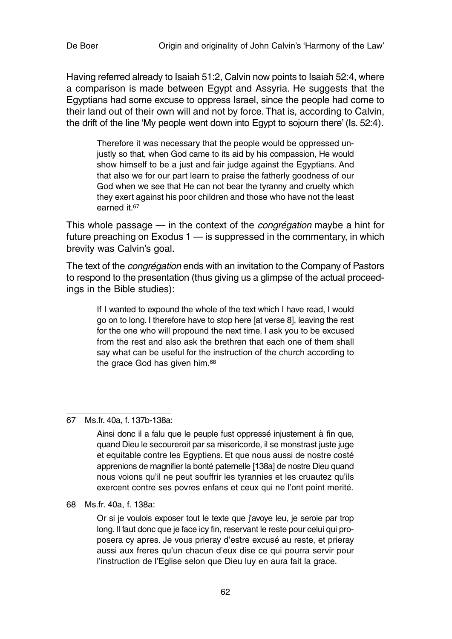Having referred already to Isaiah 51:2, Calvin now points to Isaiah 52:4, where a comparison is made between Egypt and Assyria. He suggests that the Egyptians had some excuse to oppress Israel, since the people had come to their land out of their own will and not by force. That is, according to Calvin, the drift of the line 'My people went down into Egypt to sojourn there' (Is. 52:4).

Therefore it was necessary that the people would be oppressed unjustly so that, when God came to its aid by his compassion, He would show himself to be a just and fair judge against the Egyptians. And that also we for our part learn to praise the fatherly goodness of our God when we see that He can not bear the tyranny and cruelty which they exert against his poor children and those who have not the least earned it.67

This whole passage  $-$  in the context of the *congrégation* maybe a hint for future preaching on Exodus 1 — is suppressed in the commentary, in which brevity was Calvin's goal.

The text of the congrégation ends with an invitation to the Company of Pastors to respond to the presentation (thus giving us a glimpse of the actual proceedings in the Bible studies):

If I wanted to expound the whole of the text which I have read, I would go on to long. I therefore have to stop here [at verse 8], leaving the rest for the one who will propound the next time. I ask you to be excused from the rest and also ask the brethren that each one of them shall say what can be useful for the instruction of the church according to the grace God has given him.<sup>68</sup>

#### 67 Ms.fr. 40a, f. 137b-138a:

Ainsi donc il a falu que le peuple fust oppressé injustement à fin que, quand Dieu le secoureroit par sa misericorde, il se monstrast juste juge et equitable contre les Egyptiens. Et que nous aussi de nostre costé apprenions de magnifier la bonté paternelle [138a] de nostre Dieu quand nous voions qu'il ne peut souffrir les tyrannies et les cruautez qu'ils exercent contre ses povres enfans et ceux qui ne l'ont point merité.

68 Ms.fr. 40a, f. 138a:

Or si je voulois exposer tout le texte que j'avoye leu, je seroie par trop long. Il faut donc que je face icy fin, reservant le reste pour celui qui proposera cy apres. Je vous prieray d'estre excusé au reste, et prieray aussi aux freres qu'un chacun d'eux dise ce qui pourra servir pour l'instruction de l'Eglise selon que Dieu luy en aura fait la grace.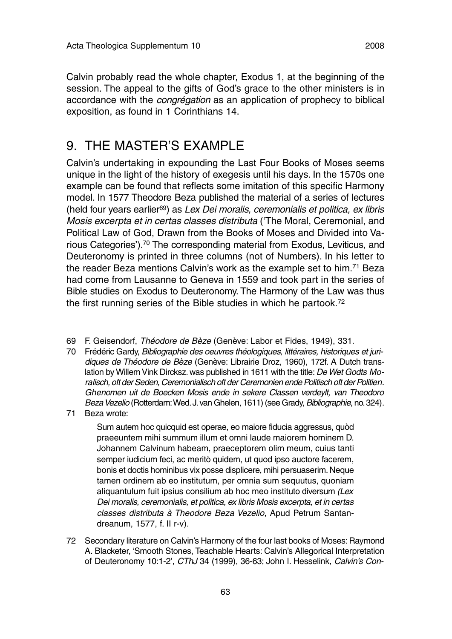Calvin probably read the whole chapter, Exodus 1, at the beginning of the session. The appeal to the gifts of God's grace to the other ministers is in accordance with the *congrégation* as an application of prophecy to biblical exposition, as found in 1 Corinthians 14.

### 9. THE MASTER'S EXAMPLE

Calvin's undertaking in expounding the Last Four Books of Moses seems unique in the light of the history of exegesis until his days. In the 1570s one example can be found that reflects some imitation of this specific Harmony model. In 1577 Theodore Beza published the material of a series of lectures (held four years earlier69) as Lex Dei moralis, ceremonialis et politica, ex libris Mosis excerpta et in certas classes distributa ('The Moral, Ceremonial, and Political Law of God, Drawn from the Books of Moses and Divided into Various Categories').70 The corresponding material from Exodus, Leviticus, and Deuteronomy is printed in three columns (not of Numbers). In his letter to the reader Beza mentions Calvin's work as the example set to him.71 Beza had come from Lausanne to Geneva in 1559 and took part in the series of Bible studies on Exodus to Deuteronomy. The Harmony of the Law was thus the first running series of the Bible studies in which he partook.72

71 Beza wrote:

Sum autem hoc quicquid est operae, eo maiore fiducia aggressus, quòd praeeuntem mihi summum illum et omni laude maiorem hominem D. Johannem Calvinum habeam, praeceptorem olim meum, cuius tanti semper iudicium feci, ac meritò quidem, ut quod ipso auctore facerem, bonis et doctis hominibus vix posse displicere, mihi persuaserim. Neque tamen ordinem ab eo institutum, per omnia sum sequutus, quoniam aliquantulum fuit ipsius consilium ab hoc meo instituto diversum *(Lex*) Dei moralis, ceremonialis, et politica, ex libris Mosis excerpta, et in certas classes distributa à Theodore Beza Vezelio, Apud Petrum Santandreanum, 1577, f. II r-v).

72 Secondary literature on Calvin's Harmony of the four last books of Moses: Raymond A. Blacketer, 'Smooth Stones, Teachable Hearts: Calvin's Allegorical Interpretation of Deuteronomy 10:1-2', CThJ 34 (1999), 36-63; John I. Hesselink, Calvin's Con-

<sup>69</sup> F. Geisendorf, Théodore de Bèze (Genève: Labor et Fides, 1949), 331.

<sup>70</sup> Frédéric Gardy, Bibliographie des oeuvres théologiques, littéraires, historiques et juridiques de Théodore de Bèze (Genève: Librairie Droz, 1960), 172f. A Dutch translation by Willem Vink Dircksz. was published in 1611 with the title: De Wet Godts Moralisch, oft der Seden, Ceremonialisch oft der Ceremonien ende Politisch oft der Politien. Ghenomen uit de Boecken Mosis ende in sekere Classen verdeylt, van Theodoro Beza Vezelio (Rotterdam:Wed.J.van Ghelen, 1611) (see Grady, Bibliographie, no.324).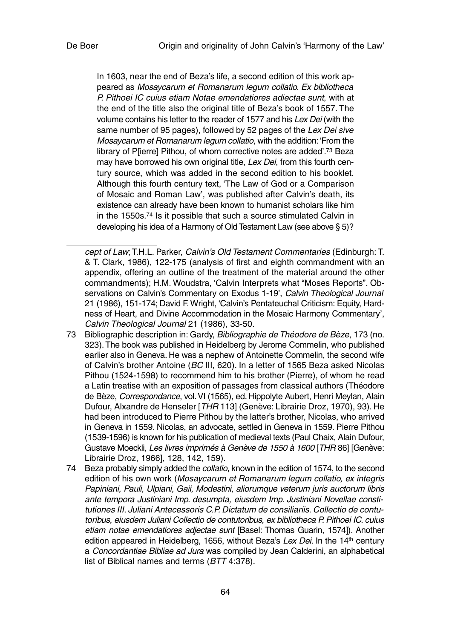In 1603, near the end of Beza's life, a second edition of this work appeared as Mosaycarum et Romanarum legum collatio. Ex bibliotheca P. Pithoei IC cuius etiam Notae emendatiores adiectae sunt, with at the end of the title also the original title of Beza's book of 1557. The volume contains his letter to the reader of 1577 and his Lex Dei (with the same number of 95 pages), followed by 52 pages of the Lex Dei sive Mosaycarum et Romanarum legum collatio, with the addition:'From the library of P[ierre] Pithou, of whom corrective notes are added'.<sup>73</sup> Beza may have borrowed his own original title, Lex Dei, from this fourth century source, which was added in the second edition to his booklet. Although this fourth century text, 'The Law of God or a Comparison of Mosaic and Roman Law', was published after Calvin's death, its existence can already have been known to humanist scholars like him in the 1550s.74 Is it possible that such a source stimulated Calvin in developing his idea of a Harmony of Old Testament Law (see above § 5)?

- 73 Bibliographic description in: Gardy, Bibliographie de Théodore de Bèze, 173 (no. 323). The book was published in Heidelberg by Jerome Commelin, who published earlier also in Geneva. He was a nephew of Antoinette Commelin, the second wife of Calvin's brother Antoine (BC III, 620). In a letter of 1565 Beza asked Nicolas Pithou (1524-1598) to recommend him to his brother (Pierre), of whom he read a Latin treatise with an exposition of passages from classical authors (Théodore de Bèze, Correspondance, vol.VI (1565), ed. Hippolyte Aubert, Henri Meylan, Alain Dufour, Alxandre de Henseler [THR 113] (Genève: Librairie Droz, 1970), 93). He had been introduced to Pierre Pithou by the latter's brother, Nicolas, who arrived in Geneva in 1559. Nicolas, an advocate, settled in Geneva in 1559. Pierre Pithou (1539-1596) is known for his publication of medieval texts (Paul Chaix, Alain Dufour, Gustave Moeckli, Les livres imprimés à Genève de 1550 à 1600 [THR 86] [Genève: Librairie Droz, 1966], 128, 142, 159).
- 74 Beza probably simply added the collatio, known in the edition of 1574, to the second edition of his own work (*Mosavcarum et Romanarum legum collatio, ex integris* Papiniani, Pauli, Ulpiani, Gaii, Modestini, aliorumque veterum juris auctorum libris ante tempora Justiniani Imp. desumpta, eiusdem Imp. Justiniani Novellae constitutiones III. Juliani Antecessoris C.P. Dictatum de consiliariis. Collectio de contutoribus, eiusdem Juliani Collectio de contutoribus, ex bibliotheca P. Pithoei IC. cuius etiam notae emendatiores adjectae sunt [Basel: Thomas Guarin, 1574]). Another edition appeared in Heidelberg, 1656, without Beza's Lex Dei. In the 14<sup>th</sup> century a Concordantiae Bibliae ad Jura was compiled by Jean Calderini, an alphabetical list of Biblical names and terms (BTT 4:378).

cept of Law; T.H.L. Parker, Calvin's Old Testament Commentaries (Edinburgh: T. & T. Clark, 1986), 122-175 (analysis of first and eighth commandment with an appendix, offering an outline of the treatment of the material around the other commandments); H.M. Woudstra, 'Calvin Interprets what "Moses Reports". Observations on Calvin's Commentary on Exodus 1-19', Calvin Theological Journal 21 (1986), 151-174; David F. Wright, 'Calvin's Pentateuchal Criticism: Equity, Hardness of Heart, and Divine Accommodation in the Mosaic Harmony Commentary', Calvin Theological Journal 21 (1986), 33-50.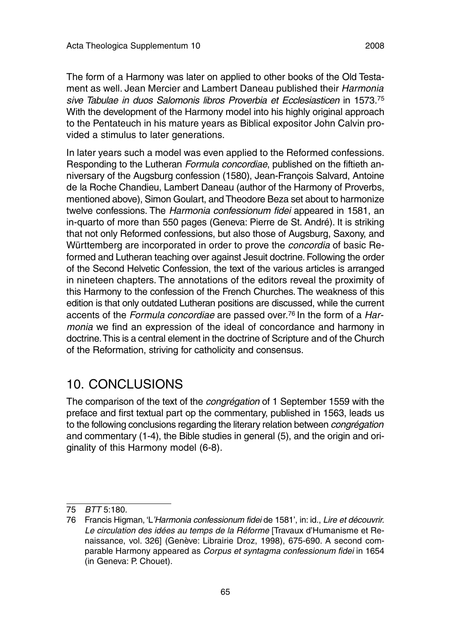The form of a Harmony was later on applied to other books of the Old Testament as well. Jean Mercier and Lambert Daneau published their Harmonia sive Tabulae in duos Salomonis libros Proverbia et Ecclesiasticen in 1573.75 With the development of the Harmony model into his highly original approach to the Pentateuch in his mature years as Biblical expositor John Calvin provided a stimulus to later generations.

In later years such a model was even applied to the Reformed confessions. Responding to the Lutheran Formula concordiae, published on the fiftieth anniversary of the Augsburg confession (1580), Jean-François Salvard, Antoine de la Roche Chandieu, Lambert Daneau (author of the Harmony of Proverbs, mentioned above), Simon Goulart, and Theodore Beza set about to harmonize twelve confessions. The Harmonia confessionum fidei appeared in 1581, an in-quarto of more than 550 pages (Geneva: Pierre de St. André). It is striking that not only Reformed confessions, but also those of Augsburg, Saxony, and Württemberg are incorporated in order to prove the *concordia* of basic Reformed and Lutheran teaching over against Jesuit doctrine. Following the order of the Second Helvetic Confession, the text of the various articles is arranged in nineteen chapters. The annotations of the editors reveal the proximity of this Harmony to the confession of the French Churches. The weakness of this edition is that only outdated Lutheran positions are discussed, while the current accents of the *Formula concordiae* are passed over.<sup>76</sup> In the form of a *Har*monia we find an expression of the ideal of concordance and harmony in doctrine.This is a central element in the doctrine of Scripture and of the Church of the Reformation, striving for catholicity and consensus.

### 10. CONCLUSIONS

The comparison of the text of the congrégation of 1 September 1559 with the preface and first textual part op the commentary, published in 1563, leads us to the following conclusions regarding the literary relation between *congrégation* and commentary (1-4), the Bible studies in general (5), and the origin and originality of this Harmony model (6-8).

<sup>75</sup> BTT 5:180.

<sup>76</sup> Francis Higman, 'L'Harmonia confessionum fidei de 1581', in: id., Lire et découvrir. Le circulation des idées au temps de la Réforme [Travaux d'Humanisme et Renaissance, vol. 326] (Genève: Librairie Droz, 1998), 675-690. A second comparable Harmony appeared as Corpus et syntagma confessionum fidei in 1654 (in Geneva: P. Chouet).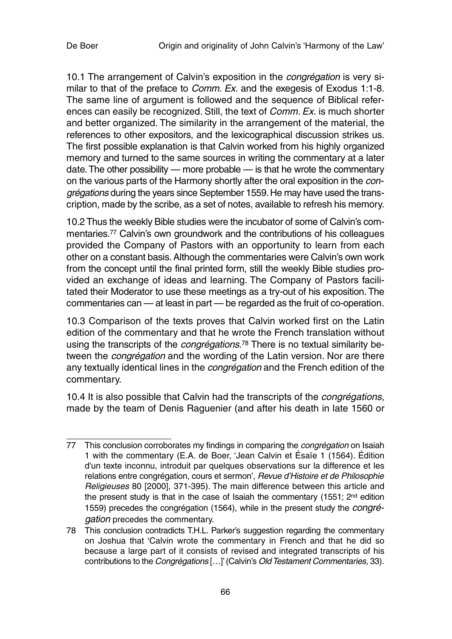10.1 The arrangement of Calvin's exposition in the congrégation is very similar to that of the preface to *Comm. Ex.* and the exegesis of Exodus 1:1-8. The same line of argument is followed and the sequence of Biblical references can easily be recognized. Still, the text of Comm. Ex. is much shorter and better organized. The similarity in the arrangement of the material, the references to other expositors, and the lexicographical discussion strikes us. The first possible explanation is that Calvin worked from his highly organized memory and turned to the same sources in writing the commentary at a later date.The other possibility — more probable — is that he wrote the commentary on the various parts of the Harmony shortly after the oral exposition in the congrégations during the years since September 1559. He may have used the transcription, made by the scribe, as a set of notes, available to refresh his memory.

10.2 Thus the weekly Bible studies were the incubator of some of Calvin's commentaries.77 Calvin's own groundwork and the contributions of his colleagues provided the Company of Pastors with an opportunity to learn from each other on a constant basis. Although the commentaries were Calvin's own work from the concept until the final printed form, still the weekly Bible studies provided an exchange of ideas and learning. The Company of Pastors facilitated their Moderator to use these meetings as a try-out of his exposition. The commentaries can — at least in part — be regarded as the fruit of co-operation.

10.3 Comparison of the texts proves that Calvin worked first on the Latin edition of the commentary and that he wrote the French translation without using the transcripts of the *congrégations*.<sup>78</sup> There is no textual similarity between the *congrégation* and the wording of the Latin version. Nor are there any textually identical lines in the *congrégation* and the French edition of the commentary.

10.4 It is also possible that Calvin had the transcripts of the *congrégations*, made by the team of Denis Raguenier (and after his death in late 1560 or

<sup>77</sup> This conclusion corroborates my findings in comparing the *congrégation* on Isaiah 1 with the commentary (E.A. de Boer, 'Jean Calvin et Ésaïe 1 (1564). Édition d'un texte inconnu, introduit par quelques observations sur la difference et les relations entre congrégation, cours et sermon', Revue d'Histoire et de Philosophie Religieuses 80 [2000], 371-395). The main difference between this article and the present study is that in the case of Isaiah the commentary  $(1551; 2<sup>nd</sup>$  edition 1559) precedes the congrégation (1564), while in the present study the congrégation precedes the commentary.

<sup>78</sup> This conclusion contradicts T.H.L. Parker's suggestion regarding the commentary on Joshua that 'Calvin wrote the commentary in French and that he did so because a large part of it consists of revised and integrated transcripts of his contributions to the Congrégations […]'(Calvin's Old Testament Commentaries, 33).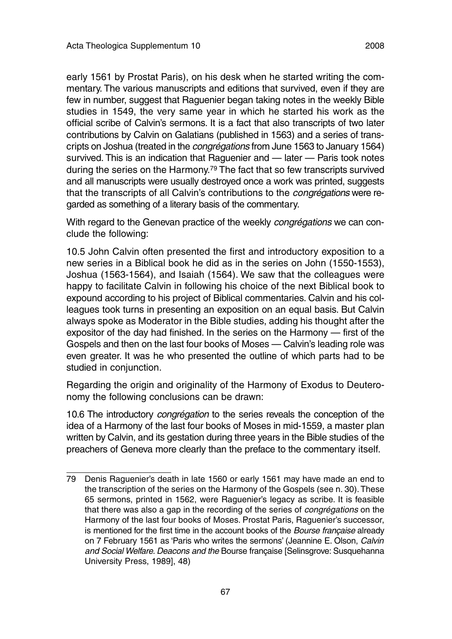early 1561 by Prostat Paris), on his desk when he started writing the commentary. The various manuscripts and editions that survived, even if they are few in number, suggest that Raguenier began taking notes in the weekly Bible studies in 1549, the very same year in which he started his work as the official scribe of Calvin's sermons. It is a fact that also transcripts of two later contributions by Calvin on Galatians (published in 1563) and a series of transcripts on Joshua (treated in the congrégations from June 1563 to January 1564) survived. This is an indication that Raguenier and — later — Paris took notes during the series on the Harmony.79 The fact that so few transcripts survived and all manuscripts were usually destroyed once a work was printed, suggests that the transcripts of all Calvin's contributions to the *congrégations* were regarded as something of a literary basis of the commentary.

With regard to the Genevan practice of the weekly *congrégations* we can conclude the following:

10.5 John Calvin often presented the first and introductory exposition to a new series in a Biblical book he did as in the series on John (1550-1553), Joshua (1563-1564), and Isaiah (1564). We saw that the colleagues were happy to facilitate Calvin in following his choice of the next Biblical book to expound according to his project of Biblical commentaries. Calvin and his colleagues took turns in presenting an exposition on an equal basis. But Calvin always spoke as Moderator in the Bible studies, adding his thought after the expositor of the day had finished. In the series on the Harmony — first of the Gospels and then on the last four books of Moses — Calvin's leading role was even greater. It was he who presented the outline of which parts had to be studied in conjunction.

Regarding the origin and originality of the Harmony of Exodus to Deuteronomy the following conclusions can be drawn:

10.6 The introductory *congrégation* to the series reveals the conception of the idea of a Harmony of the last four books of Moses in mid-1559, a master plan written by Calvin, and its gestation during three years in the Bible studies of the preachers of Geneva more clearly than the preface to the commentary itself.

<sup>79</sup> Denis Raguenier's death in late 1560 or early 1561 may have made an end to the transcription of the series on the Harmony of the Gospels (see n. 30). These 65 sermons, printed in 1562, were Raguenier's legacy as scribe. It is feasible that there was also a gap in the recording of the series of congrégations on the Harmony of the last four books of Moses. Prostat Paris, Raguenier's successor, is mentioned for the first time in the account books of the Bourse française already on 7 February 1561 as 'Paris who writes the sermons' (Jeannine E. Olson, Calvin and Social Welfare. Deacons and the Bourse francaise [Selinsgrove: Susquehanna University Press, 1989], 48)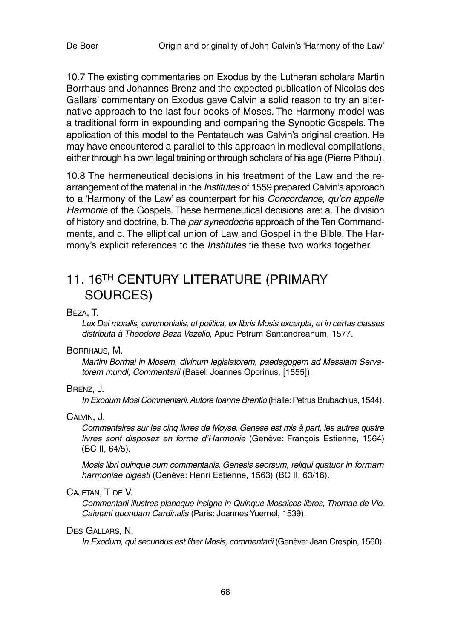10.7 The existing commentaries on Exodus by the Lutheran scholars Martin Borrhaus and Johannes Brenz and the expected publication of Nicolas des Gallars' commentary on Exodus gave Calvin a solid reason to try an alternative approach to the last four books of Moses. The Harmony model was a traditional form in expounding and comparing the Synoptic Gospels. The application of this model to the Pentateuch was Calvin's original creation. He may have encountered a parallel to this approach in medieval compilations, either through his own legal training or through scholars of his age (Pierre Pithou).

10.8 The hermeneutical decisions in his treatment of the Law and the rearrangement of the material in the Institutes of 1559 prepared Calvin's approach to a 'Harmony of the Law' as counterpart for his Concordance, qu'on appelle Harmonie of the Gospels. These hermeneutical decisions are: a. The division of history and doctrine, b. The par synecdoche approach of the Ten Commandments, and c. The elliptical union of Law and Gospel in the Bible. The Harmony's explicit references to the Institutes tie these two works together.

### 11. 16TH CENTURY LITERATURE (PRIMARY SOURCES)

#### BEZA, T.

Lex Dei moralis, ceremonialis, et politica, ex libris Mosis excerpta, et in certas classes distributa à Theodore Beza Vezelio, Apud Petrum Santandreanum, 1577.

#### BORRHAUS, M.

Martini Borrhai in Mosem, divinum legislatorem, paedagogem ad Messiam Servatorem mundi, Commentarii (Basel: Joannes Oporinus, [1555]).

#### BRENZ, J.

In Exodum Mosi Commentarii. Autore Ioanne Brentio (Halle: Petrus Brubachius, 1544).

#### CALVIN, J.

Commentaires sur les cinq livres de Moyse. Genese est mis à part, les autres quatre livres sont disposez en forme d'Harmonie (Genève: François Estienne, 1564) (BC II, 64/5).

Mosis libri quinque cum commentariis. Genesis seorsum, reliqui quatuor in formam harmoniae digesti (Genève: Henri Estienne, 1563) (BC II, 63/16).

#### CAJETAN, T DE V.

Commentarii illustres planeque insigne in Quinque Mosaicos libros, Thomae de Vio, Caietani quondam Cardinalis (Paris: Joannes Yuernel, 1539).

#### DES GALLARS, N.

In Exodum, qui secundus est liber Mosis, commentarii (Genève: Jean Crespin, 1560).